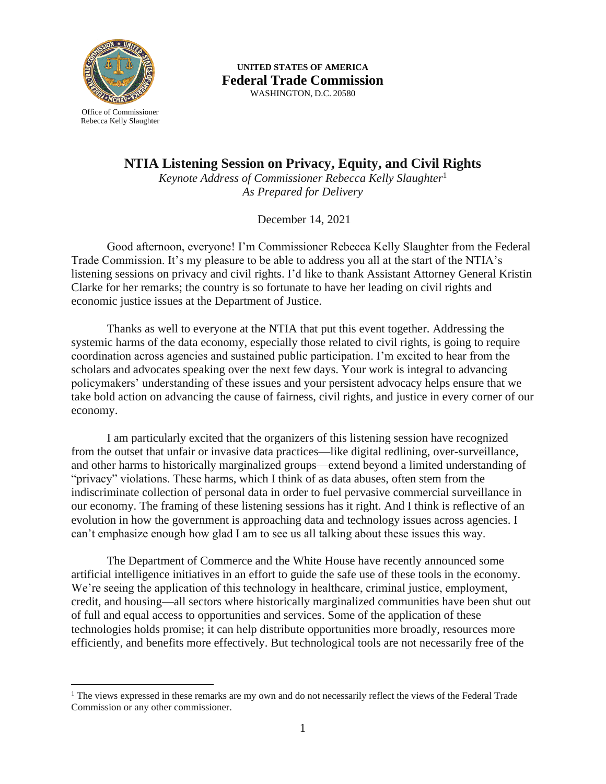

**UNITED STATES OF AMERICA Federal Trade Commission** WASHINGTON, D.C. 20580

Rebecca Kelly Slaughter

**NTIA Listening Session on Privacy, Equity, and Civil Rights**

*Keynote Address of Commissioner Rebecca Kelly Slaughter*<sup>1</sup> *As Prepared for Delivery*

December 14, 2021

Good afternoon, everyone! I'm Commissioner Rebecca Kelly Slaughter from the Federal Trade Commission. It's my pleasure to be able to address you all at the start of the NTIA's listening sessions on privacy and civil rights. I'd like to thank Assistant Attorney General Kristin Clarke for her remarks; the country is so fortunate to have her leading on civil rights and economic justice issues at the Department of Justice.

Thanks as well to everyone at the NTIA that put this event together. Addressing the systemic harms of the data economy, especially those related to civil rights, is going to require coordination across agencies and sustained public participation. I'm excited to hear from the scholars and advocates speaking over the next few days. Your work is integral to advancing policymakers' understanding of these issues and your persistent advocacy helps ensure that we take bold action on advancing the cause of fairness, civil rights, and justice in every corner of our economy.

I am particularly excited that the organizers of this listening session have recognized from the outset that unfair or invasive data practices—like digital redlining, over-surveillance, and other harms to historically marginalized groups—extend beyond a limited understanding of "privacy" violations. These harms, which I think of as data abuses, often stem from the indiscriminate collection of personal data in order to fuel pervasive commercial surveillance in our economy. The framing of these listening sessions has it right. And I think is reflective of an evolution in how the government is approaching data and technology issues across agencies. I can't emphasize enough how glad I am to see us all talking about these issues this way.

The Department of Commerce and the White House have recently announced some artificial intelligence initiatives in an effort to guide the safe use of these tools in the economy. We're seeing the application of this technology in healthcare, criminal justice, employment, credit, and housing—all sectors where historically marginalized communities have been shut out of full and equal access to opportunities and services. Some of the application of these technologies holds promise; it can help distribute opportunities more broadly, resources more efficiently, and benefits more effectively. But technological tools are not necessarily free of the

<sup>&</sup>lt;sup>1</sup> The views expressed in these remarks are my own and do not necessarily reflect the views of the Federal Trade Commission or any other commissioner.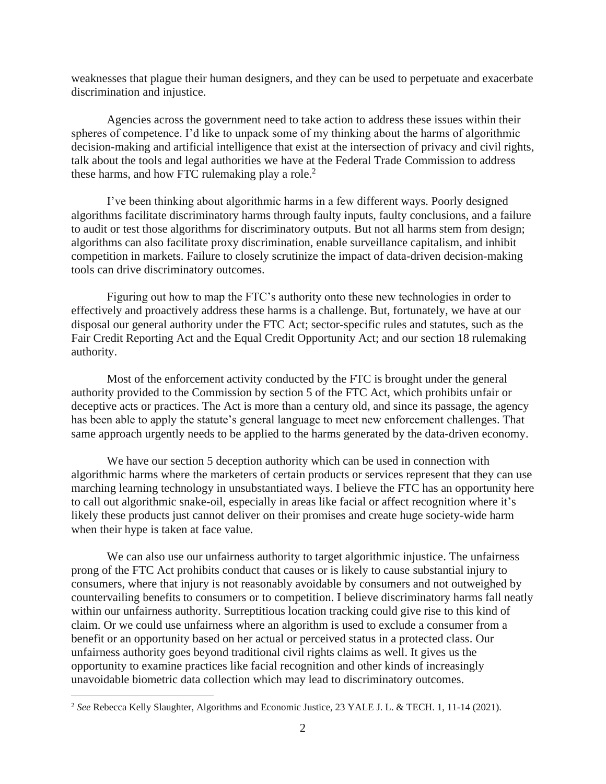weaknesses that plague their human designers, and they can be used to perpetuate and exacerbate discrimination and injustice.

Agencies across the government need to take action to address these issues within their spheres of competence. I'd like to unpack some of my thinking about the harms of algorithmic decision-making and artificial intelligence that exist at the intersection of privacy and civil rights, talk about the tools and legal authorities we have at the Federal Trade Commission to address these harms, and how FTC rulemaking play a role. 2

I've been thinking about algorithmic harms in a few different ways. Poorly designed algorithms facilitate discriminatory harms through faulty inputs, faulty conclusions, and a failure to audit or test those algorithms for discriminatory outputs. But not all harms stem from design; algorithms can also facilitate proxy discrimination, enable surveillance capitalism, and inhibit competition in markets. Failure to closely scrutinize the impact of data-driven decision-making tools can drive discriminatory outcomes.

Figuring out how to map the FTC's authority onto these new technologies in order to effectively and proactively address these harms is a challenge. But, fortunately, we have at our disposal our general authority under the FTC Act; sector-specific rules and statutes, such as the Fair Credit Reporting Act and the Equal Credit Opportunity Act; and our section 18 rulemaking authority.

Most of the enforcement activity conducted by the FTC is brought under the general authority provided to the Commission by section 5 of the FTC Act, which prohibits unfair or deceptive acts or practices. The Act is more than a century old, and since its passage, the agency has been able to apply the statute's general language to meet new enforcement challenges. That same approach urgently needs to be applied to the harms generated by the data-driven economy.

We have our section 5 deception authority which can be used in connection with algorithmic harms where the marketers of certain products or services represent that they can use marching learning technology in unsubstantiated ways. I believe the FTC has an opportunity here to call out algorithmic snake-oil, especially in areas like facial or affect recognition where it's likely these products just cannot deliver on their promises and create huge society-wide harm when their hype is taken at face value.

We can also use our unfairness authority to target algorithmic injustice. The unfairness prong of the FTC Act prohibits conduct that causes or is likely to cause substantial injury to consumers, where that injury is not reasonably avoidable by consumers and not outweighed by countervailing benefits to consumers or to competition. I believe discriminatory harms fall neatly within our unfairness authority. Surreptitious location tracking could give rise to this kind of claim. Or we could use unfairness where an algorithm is used to exclude a consumer from a benefit or an opportunity based on her actual or perceived status in a protected class. Our unfairness authority goes beyond traditional civil rights claims as well. It gives us the opportunity to examine practices like facial recognition and other kinds of increasingly unavoidable biometric data collection which may lead to discriminatory outcomes.

<sup>2</sup> *See* Rebecca Kelly Slaughter, Algorithms and Economic Justice, 23 YALE J. L. & TECH. 1, 11-14 (2021).